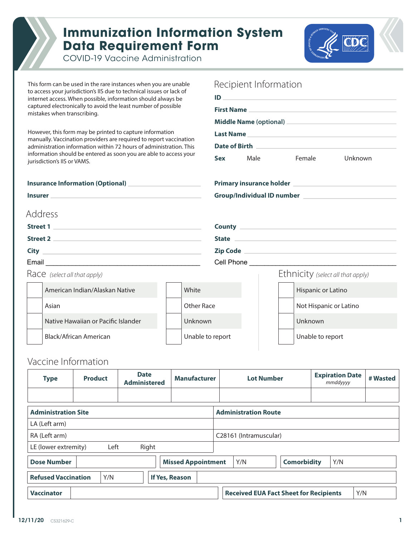

## **Immunization Information System Data Requirement Form**



COVID-19 Vaccine Administration

This form can be used in the rare instances when you are unable to access your jurisdiction's IIS due to technical issues or lack of internet access. When possible, information should always be captured electronically to avoid the least number of possible mistakes when transcribing. However, this form may be printed to capture information manually. Vaccination providers are required to report vaccination administration information within 72 hours of administration. This information should be entered as soon you are able to access your jurisdiction's IIS or VAMS. **Insurance Information (Optional) Insurer Primary insurance holder Group/Individual ID number Street 1 Street 2 City County State Zip Code ID First Name Middle Name (optional) Last Name Date of Birth Sex**  Address Recipient Information Race *(select all that apply)* Ethnicity *(select all that apply)* American Indian/Alaskan Native Asian Native Hawaiian or Pacific Islander Black/African American White Other Race Unknown Unable to report Hispanic or Latino Not Hispanic or Latino Unknown Unable to report Male Female Unknown Email \_\_\_\_\_\_\_\_\_\_\_\_\_\_\_\_\_\_\_\_\_\_\_\_\_\_\_\_\_\_\_\_\_\_\_\_\_\_\_\_\_ Cell Phone \_\_\_\_\_\_\_\_\_\_\_\_\_\_\_\_\_\_\_\_\_\_\_\_\_\_\_\_\_\_\_\_\_\_\_\_\_\_\_

## Vaccine Information

| <b>Type</b>                                         | <b>Product</b> | <b>Date</b><br><b>Administered</b> | <b>Manufacturer</b> | <b>Lot Number</b>                             |                    | <b>Expiration Date</b><br>mmddyyyy | # Wasted |  |
|-----------------------------------------------------|----------------|------------------------------------|---------------------|-----------------------------------------------|--------------------|------------------------------------|----------|--|
|                                                     |                |                                    |                     |                                               |                    |                                    |          |  |
| <b>Administration Site</b>                          |                |                                    |                     | <b>Administration Route</b>                   |                    |                                    |          |  |
| LA (Left arm)                                       |                |                                    |                     |                                               |                    |                                    |          |  |
| RA (Left arm)                                       |                |                                    |                     | C28161 (Intramuscular)                        |                    |                                    |          |  |
| LE (lower extremity)                                | Left           | Right                              |                     |                                               |                    |                                    |          |  |
| <b>Dose Number</b><br><b>Missed Appointment</b>     |                |                                    |                     | Y/N                                           | <b>Comorbidity</b> | Y/N                                |          |  |
| <b>Refused Vaccination</b><br>If Yes, Reason<br>Y/N |                |                                    |                     |                                               |                    |                                    |          |  |
| <b>Vaccinator</b>                                   |                |                                    |                     | <b>Received EUA Fact Sheet for Recipients</b> |                    |                                    | Y/N      |  |